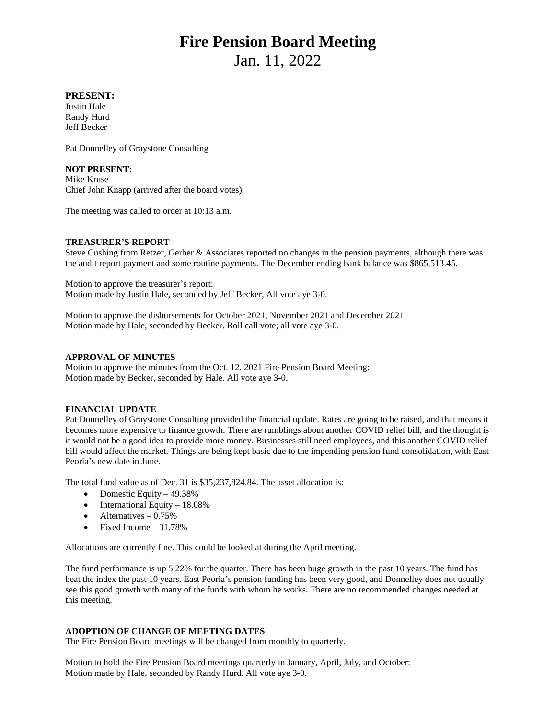# **Fire Pension Board Meeting**

Jan. 11, 2022

# **PRESENT:**

Justin Hale Randy Hurd Jeff Becker

Pat Donnelley of Graystone Consulting

## **NOT PRESENT:**

Mike Kruse Chief John Knapp (arrived after the board votes)

The meeting was called to order at 10:13 a.m.

### **TREASURER'S REPORT**

Steve Cushing from Retzer, Gerber & Associates reported no changes in the pension payments, although there was the audit report payment and some routine payments. The December ending bank balance was \$865,513.45.

Motion to approve the treasurer's report: Motion made by Justin Hale, seconded by Jeff Becker, All vote aye 3-0.

Motion to approve the disbursements for October 2021, November 2021 and December 2021: Motion made by Hale, seconded by Becker. Roll call vote; all vote aye 3-0.

#### **APPROVAL OF MINUTES**

Motion to approve the minutes from the Oct. 12, 2021 Fire Pension Board Meeting: Motion made by Becker, seconded by Hale. All vote aye 3-0.

### **FINANCIAL UPDATE**

Pat Donnelley of Graystone Consulting provided the financial update. Rates are going to be raised, and that means it becomes more expensive to finance growth. There are rumblings about another COVID relief bill, and the thought is it would not be a good idea to provide more money. Businesses still need employees, and this another COVID relief bill would affect the market. Things are being kept basic due to the impending pension fund consolidation, with East Peoria's new date in June.

The total fund value as of Dec. 31 is \$35,237,824.84. The asset allocation is:

- Domestic Equity  $-49.38\%$
- $\bullet$  International Equity 18.08%
- $\bullet$  Alternatives 0.75%
- Fixed Income  $-31.78%$

Allocations are currently fine. This could be looked at during the April meeting.

The fund performance is up 5.22% for the quarter. There has been huge growth in the past 10 years. The fund has beat the index the past 10 years. East Peoria's pension funding has been very good, and Donnelley does not usually see this good growth with many of the funds with whom he works. There are no recommended changes needed at this meeting.

### **ADOPTION OF CHANGE OF MEETING DATES**

The Fire Pension Board meetings will be changed from monthly to quarterly.

Motion to hold the Fire Pension Board meetings quarterly in January, April, July, and October: Motion made by Hale, seconded by Randy Hurd. All vote aye 3-0.